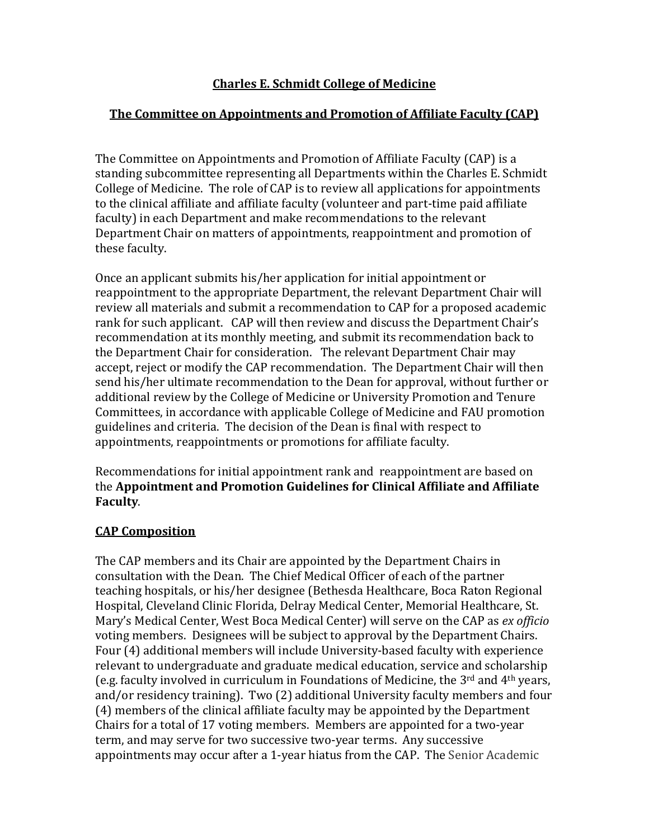## **Charles E. Schmidt College of Medicine**

## **The Committee on Appointments and Promotion of Affiliate Faculty (CAP)**

The Committee on Appointments and Promotion of Affiliate Faculty (CAP) is a standing subcommittee representing all Departments within the Charles E. Schmidt College of Medicine. The role of CAP is to review all applications for appointments to the clinical affiliate and affiliate faculty (volunteer and part-time paid affiliate faculty) in each Department and make recommendations to the relevant Department Chair on matters of appointments, reappointment and promotion of these faculty.

Once an applicant submits his/her application for initial appointment or reappointment to the appropriate Department, the relevant Department Chair will review all materials and submit a recommendation to CAP for a proposed academic rank for such applicant. CAP will then review and discuss the Department Chair's recommendation at its monthly meeting, and submit its recommendation back to the Department Chair for consideration. The relevant Department Chair may accept, reject or modify the CAP recommendation. The Department Chair will then send his/her ultimate recommendation to the Dean for approval, without further or additional review by the College of Medicine or University Promotion and Tenure Committees, in accordance with applicable College of Medicine and FAU promotion guidelines and criteria. The decision of the Dean is final with respect to appointments, reappointments or promotions for affiliate faculty.

Recommendations for initial appointment rank and reappointment are based on the **Appointment and Promotion Guidelines for Clinical Affiliate and Affiliate Faculty**.

## **CAP Composition**

The CAP members and its Chair are appointed by the Department Chairs in consultation with the Dean. The Chief Medical Officer of each of the partner teaching hospitals, or his/her designee (Bethesda Healthcare, Boca Raton Regional Hospital, Cleveland Clinic Florida, Delray Medical Center, Memorial Healthcare, St. Mary's Medical Center, West Boca Medical Center) will serve on the CAP as *ex officio*  voting members. Designees will be subject to approval by the Department Chairs. Four (4) additional members will include University-based faculty with experience relevant to undergraduate and graduate medical education, service and scholarship (e.g. faculty involved in curriculum in Foundations of Medicine, the 3rd and 4th years, and/or residency training). Two (2) additional University faculty members and four (4) members of the clinical affiliate faculty may be appointed by the Department Chairs for a total of 17 voting members. Members are appointed for a two-year term, and may serve for two successive two-year terms. Any successive appointments may occur after a 1-year hiatus from the CAP. The Senior Academic